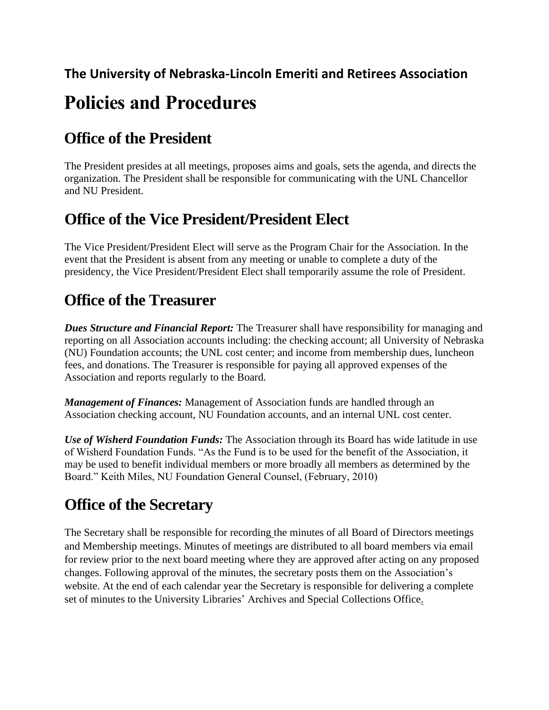#### **The University of Nebraska-Lincoln Emeriti and Retirees Association**

# **Policies and Procedures**

#### **Office of the President**

The President presides at all meetings, proposes aims and goals, sets the agenda, and directs the organization. The President shall be responsible for communicating with the UNL Chancellor and NU President.

#### **Office of the Vice President/President Elect**

The Vice President/President Elect will serve as the Program Chair for the Association. In the event that the President is absent from any meeting or unable to complete a duty of the presidency, the Vice President/President Elect shall temporarily assume the role of President.

#### **Office of the Treasurer**

*Dues Structure and Financial Report:* The Treasurer shall have responsibility for managing and reporting on all Association accounts including: the checking account; all University of Nebraska (NU) Foundation accounts; the UNL cost center; and income from membership dues, luncheon fees, and donations. The Treasurer is responsible for paying all approved expenses of the Association and reports regularly to the Board.

*Management of Finances:* Management of Association funds are handled through an Association checking account, NU Foundation accounts, and an internal UNL cost center.

*Use of Wisherd Foundation Funds:* The Association through its Board has wide latitude in use of Wisherd Foundation Funds. "As the Fund is to be used for the benefit of the Association, it may be used to benefit individual members or more broadly all members as determined by the Board." Keith Miles, NU Foundation General Counsel, (February, 2010)

#### **Office of the Secretary**

The Secretary shall be responsible for recording the minutes of all Board of Directors meetings and Membership meetings. Minutes of meetings are distributed to all board members via email for review prior to the next board meeting where they are approved after acting on any proposed changes. Following approval of the minutes, the secretary posts them on the Association's website. At the end of each calendar year the Secretary is responsible for delivering a complete set of minutes to the University Libraries' Archives and Special Collections Office.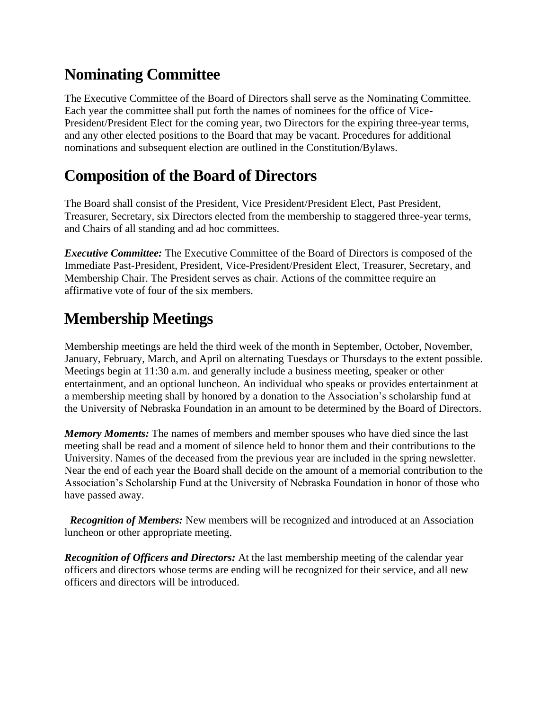#### **Nominating Committee**

The Executive Committee of the Board of Directors shall serve as the Nominating Committee. Each year the committee shall put forth the names of nominees for the office of Vice-President/President Elect for the coming year, two Directors for the expiring three-year terms, and any other elected positions to the Board that may be vacant. Procedures for additional nominations and subsequent election are outlined in the Constitution/Bylaws.

#### **Composition of the Board of Directors**

The Board shall consist of the President, Vice President/President Elect, Past President, Treasurer, Secretary, six Directors elected from the membership to staggered three-year terms, and Chairs of all standing and ad hoc committees.

*Executive Committee:* The Executive Committee of the Board of Directors is composed of the Immediate Past-President, President, Vice-President/President Elect, Treasurer, Secretary, and Membership Chair. The President serves as chair. Actions of the committee require an affirmative vote of four of the six members.

#### **Membership Meetings**

Membership meetings are held the third week of the month in September, October, November, January, February, March, and April on alternating Tuesdays or Thursdays to the extent possible. Meetings begin at 11:30 a.m. and generally include a business meeting, speaker or other entertainment, and an optional luncheon. An individual who speaks or provides entertainment at a membership meeting shall by honored by a donation to the Association's scholarship fund at the University of Nebraska Foundation in an amount to be determined by the Board of Directors.

*Memory Moments:* The names of members and member spouses who have died since the last meeting shall be read and a moment of silence held to honor them and their contributions to the University. Names of the deceased from the previous year are included in the spring newsletter. Near the end of each year the Board shall decide on the amount of a memorial contribution to the Association's Scholarship Fund at the University of Nebraska Foundation in honor of those who have passed away.

 *Recognition of Members:* New members will be recognized and introduced at an Association luncheon or other appropriate meeting.

*Recognition of Officers and Directors:* At the last membership meeting of the calendar year officers and directors whose terms are ending will be recognized for their service, and all new officers and directors will be introduced.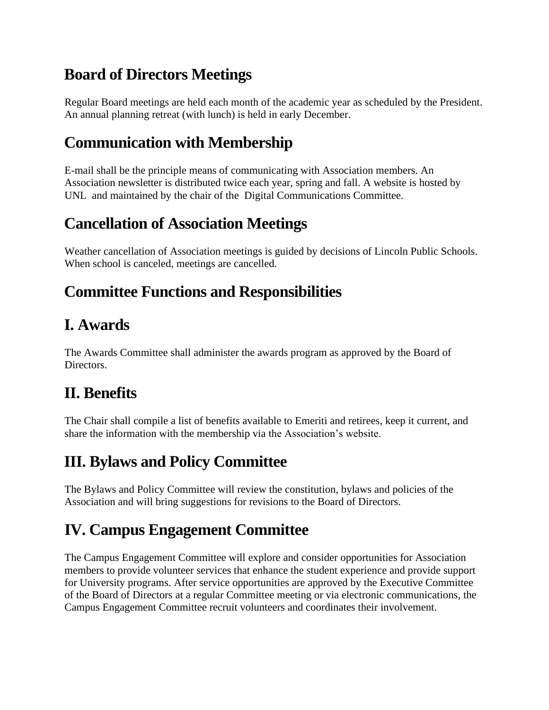#### **Board of Directors Meetings**

Regular Board meetings are held each month of the academic year as scheduled by the President. An annual planning retreat (with lunch) is held in early December.

#### **Communication with Membership**

E-mail shall be the principle means of communicating with Association members. An Association newsletter is distributed twice each year, spring and fall. A website is hosted by UNL and maintained by the chair of the Digital Communications Committee.

#### **Cancellation of Association Meetings**

Weather cancellation of Association meetings is guided by decisions of Lincoln Public Schools. When school is canceled, meetings are cancelled.

## **Committee Functions and Responsibilities**

#### **I. Awards**

The Awards Committee shall administer the awards program as approved by the Board of Directors.

#### **II. Benefits**

The Chair shall compile a list of benefits available to Emeriti and retirees, keep it current, and share the information with the membership via the Association's website.

### **III. Bylaws and Policy Committee**

The Bylaws and Policy Committee will review the constitution, bylaws and policies of the Association and will bring suggestions for revisions to the Board of Directors.

## **IV. Campus Engagement Committee**

The Campus Engagement Committee will explore and consider opportunities for Association members to provide volunteer services that enhance the student experience and provide support for University programs. After service opportunities are approved by the Executive Committee of the Board of Directors at a regular Committee meeting or via electronic communications, the Campus Engagement Committee recruit volunteers and coordinates their involvement.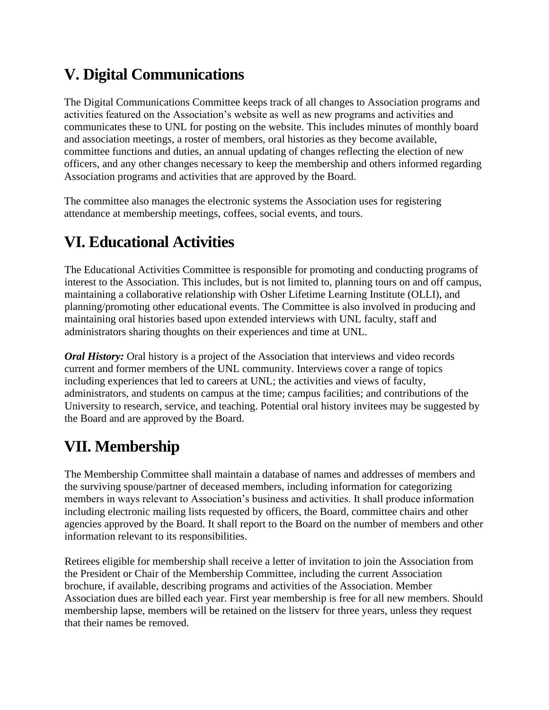### **V. Digital Communications**

The Digital Communications Committee keeps track of all changes to Association programs and activities featured on the Association's website as well as new programs and activities and communicates these to UNL for posting on the website. This includes minutes of monthly board and association meetings, a roster of members, oral histories as they become available, committee functions and duties, an annual updating of changes reflecting the election of new officers, and any other changes necessary to keep the membership and others informed regarding Association programs and activities that are approved by the Board.

The committee also manages the electronic systems the Association uses for registering attendance at membership meetings, coffees, social events, and tours.

### **VI. Educational Activities**

The Educational Activities Committee is responsible for promoting and conducting programs of interest to the Association. This includes, but is not limited to, planning tours on and off campus, maintaining a collaborative relationship with Osher Lifetime Learning Institute (OLLI), and planning/promoting other educational events. The Committee is also involved in producing and maintaining oral histories based upon extended interviews with UNL faculty, staff and administrators sharing thoughts on their experiences and time at UNL.

*Oral History:* Oral history is a project of the Association that interviews and video records current and former members of the UNL community. Interviews cover a range of topics including experiences that led to careers at UNL; the activities and views of faculty, administrators, and students on campus at the time; campus facilities; and contributions of the University to research, service, and teaching. Potential oral history invitees may be suggested by the Board and are approved by the Board.

### **VII. Membership**

The Membership Committee shall maintain a database of names and addresses of members and the surviving spouse/partner of deceased members, including information for categorizing members in ways relevant to Association's business and activities. It shall produce information including electronic mailing lists requested by officers, the Board, committee chairs and other agencies approved by the Board. It shall report to the Board on the number of members and other information relevant to its responsibilities.

Retirees eligible for membership shall receive a letter of invitation to join the Association from the President or Chair of the Membership Committee, including the current Association brochure, if available, describing programs and activities of the Association. Member Association dues are billed each year. First year membership is free for all new members. Should membership lapse, members will be retained on the listserv for three years, unless they request that their names be removed.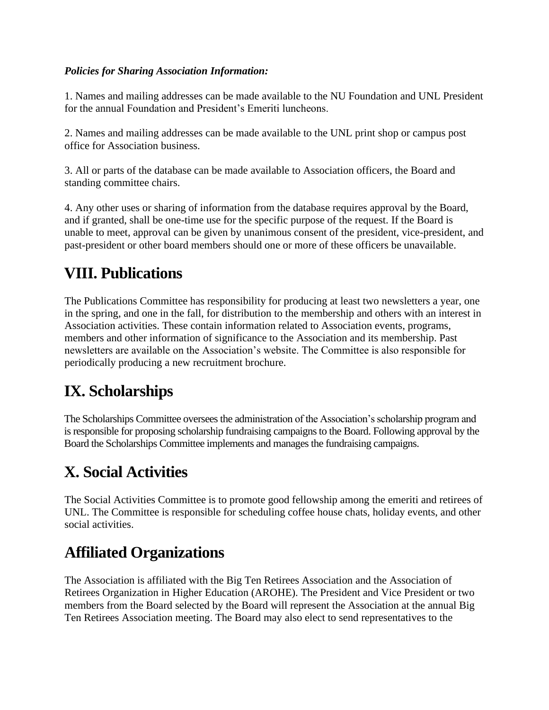#### *Policies for Sharing Association Information:*

1. Names and mailing addresses can be made available to the NU Foundation and UNL President for the annual Foundation and President's Emeriti luncheons.

2. Names and mailing addresses can be made available to the UNL print shop or campus post office for Association business.

3. All or parts of the database can be made available to Association officers, the Board and standing committee chairs.

4. Any other uses or sharing of information from the database requires approval by the Board, and if granted, shall be one-time use for the specific purpose of the request. If the Board is unable to meet, approval can be given by unanimous consent of the president, vice-president, and past-president or other board members should one or more of these officers be unavailable.

#### **VIII. Publications**

The Publications Committee has responsibility for producing at least two newsletters a year, one in the spring, and one in the fall, for distribution to the membership and others with an interest in Association activities. These contain information related to Association events, programs, members and other information of significance to the Association and its membership. Past newsletters are available on the Association's website. The Committee is also responsible for periodically producing a new recruitment brochure.

#### **IX. Scholarships**

The Scholarships Committee oversees the administration of the Association's scholarship program and is responsible for proposing scholarship fundraising campaignsto the Board. Following approval by the Board the Scholarships Committee implements and manages the fundraising campaigns.

## **X. Social Activities**

The Social Activities Committee is to promote good fellowship among the emeriti and retirees of UNL. The Committee is responsible for scheduling coffee house chats, holiday events, and other social activities.

#### **Affiliated Organizations**

The Association is affiliated with the Big Ten Retirees Association and the Association of Retirees Organization in Higher Education (AROHE). The President and Vice President or two members from the Board selected by the Board will represent the Association at the annual Big Ten Retirees Association meeting. The Board may also elect to send representatives to the